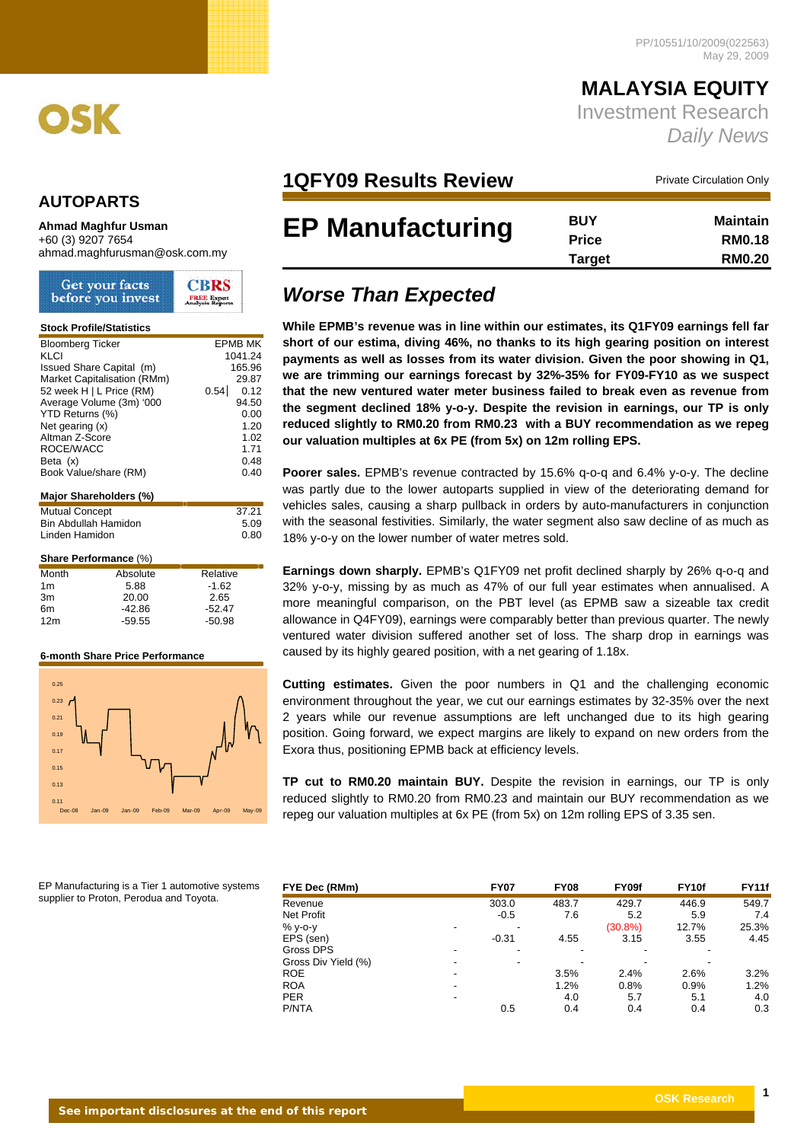

## **AUTOPARTS**

### **Ahmad Maghfur Usman**

+60 (3) 9207 7654 ahmad.maghfurusman@osk.com.my

| Get your facts    | <b>CBRS</b>                            |
|-------------------|----------------------------------------|
| before you invest | <b>FREE Expert</b><br>Analysis Reports |

### **Stock Profile/Statistics**

| <b>Bloomberg Ticker</b>     | <b>EPMB MK</b> |
|-----------------------------|----------------|
| KLCI                        | 1041.24        |
| Issued Share Capital (m)    | 165.96         |
| Market Capitalisation (RMm) | 29.87          |
| 52 week H   L Price (RM)    | 0.54<br>0.12   |
| Average Volume (3m) '000    | 94.50          |
| YTD Returns (%)             | 0.00           |
| Net gearing (x)             | 1.20           |
| Altman Z-Score              | 1.02           |
| ROCE/WACC                   | 1.71           |
| Beta $(x)$                  | 0.48           |
| Book Value/share (RM)       | 0.40           |
|                             |                |
| Major Shareholders (%)      |                |
| <b>Mutual Concept</b>       | 37.21          |
| Bin Abdullah Hamidon        | 5.09           |
| I inden Hamidon             | 0.80           |

#### **Share Performance** (%)

| Month           | Absolute | Relative |
|-----------------|----------|----------|
| 1m              | 5.88     | $-1.62$  |
| 3m              | 20.00    | 2.65     |
| 6m              | $-42.86$ | $-52.47$ |
| 12 <sub>m</sub> | $-59.55$ | $-50.98$ |

#### **6-month Share Price Performance**



 PP/10551/10/2009(022563) May 29, 2009

**MALAYSIA EQUITY** Investment Research *Daily News*

# **1QFY09 Results Review Manual Private Circulation Only**

# **EP Manufacturing BUY Maintain RMO.18 Price RM0.18 Target RM0.20**

# *Worse Than Expected*

**While EPMB's revenue was in line within our estimates, its Q1FY09 earnings fell far short of our estima, diving 46%, no thanks to its high gearing position on interest payments as well as losses from its water division. Given the poor showing in Q1, we are trimming our earnings forecast by 32%-35% for FY09-FY10 as we suspect that the new ventured water meter business failed to break even as revenue from the segment declined 18% y-o-y. Despite the revision in earnings, our TP is only reduced slightly to RM0.20 from RM0.23 with a BUY recommendation as we repeg our valuation multiples at 6x PE (from 5x) on 12m rolling EPS.** 

**Poorer sales.** EPMB's revenue contracted by 15.6% q-o-q and 6.4% y-o-y. The decline was partly due to the lower autoparts supplied in view of the deteriorating demand for vehicles sales, causing a sharp pullback in orders by auto-manufacturers in conjunction with the seasonal festivities. Similarly, the water segment also saw decline of as much as 18% y-o-y on the lower number of water metres sold.

**Earnings down sharply.** EPMB's Q1FY09 net profit declined sharply by 26% q-o-q and 32% y-o-y, missing by as much as 47% of our full year estimates when annualised. A more meaningful comparison, on the PBT level (as EPMB saw a sizeable tax credit allowance in Q4FY09), earnings were comparably better than previous quarter. The newly ventured water division suffered another set of loss. The sharp drop in earnings was caused by its highly geared position, with a net gearing of 1.18x.

**Cutting estimates.** Given the poor numbers in Q1 and the challenging economic environment throughout the year, we cut our earnings estimates by 32-35% over the next 2 years while our revenue assumptions are left unchanged due to its high gearing position. Going forward, we expect margins are likely to expand on new orders from the Exora thus, positioning EPMB back at efficiency levels.

**TP cut to RM0.20 maintain BUY.** Despite the revision in earnings, our TP is only reduced slightly to RM0.20 from RM0.23 and maintain our BUY recommendation as we repeg our valuation multiples at 6x PE (from 5x) on 12m rolling EPS of 3.35 sen.

EP Manufacturing is a Tier 1 automotive systems supplier to Proton, Perodua and Toyota.

| FYE Dec (RMm)       |                          | <b>FY07</b> | <b>FY08</b> | FY09f      | FY <sub>10f</sub> | <b>FY11f</b> |
|---------------------|--------------------------|-------------|-------------|------------|-------------------|--------------|
| Revenue             |                          | 303.0       | 483.7       | 429.7      | 446.9             | 549.7        |
| Net Profit          |                          | $-0.5$      | 7.6         | 5.2        | 5.9               | 7.4          |
| $% y-o-y$           | ۰                        |             |             | $(30.8\%)$ | 12.7%             | 25.3%        |
| EPS (sen)           |                          | $-0.31$     | 4.55        | 3.15       | 3.55              | 4.45         |
| Gross DPS           |                          |             |             |            |                   |              |
| Gross Div Yield (%) | ۰                        |             |             |            |                   |              |
| <b>ROE</b>          |                          |             | 3.5%        | 2.4%       | 2.6%              | 3.2%         |
| <b>ROA</b>          | ۰                        |             | 1.2%        | 0.8%       | 0.9%              | 1.2%         |
| <b>PER</b>          | $\overline{\phantom{a}}$ |             | 4.0         | 5.7        | 5.1               | 4.0          |
| P/NTA               |                          | 0.5         | 0.4         | 0.4        | 0.4               | 0.3          |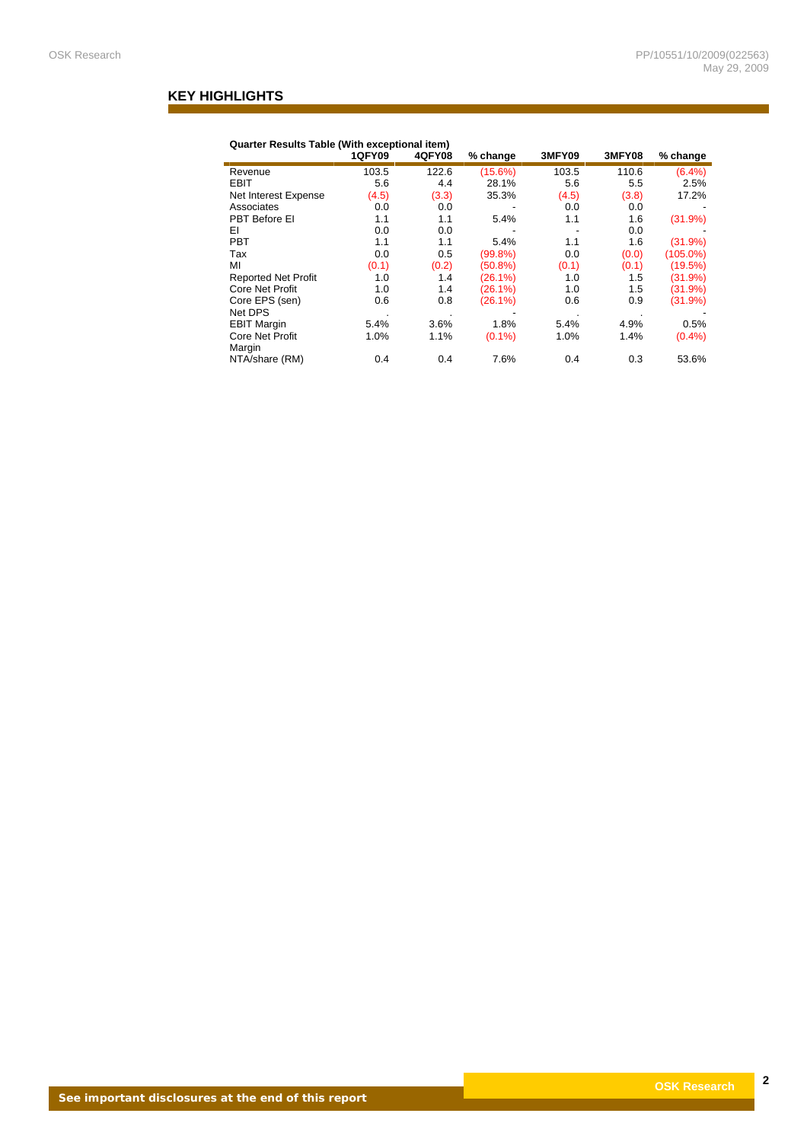### **KEY HIGHLIGHTS**

| Quarter Results Table (With exceptional item) |               |               |            |        |        |             |
|-----------------------------------------------|---------------|---------------|------------|--------|--------|-------------|
|                                               | <b>1QFY09</b> | <b>4QFY08</b> | $%$ change | 3MFY09 | 3MFY08 | % change    |
| Revenue                                       | 103.5         | 122.6         | $(15.6\%)$ | 103.5  | 110.6  | (6.4%)      |
| EBIT                                          | 5.6           | 4.4           | 28.1%      | 5.6    | 5.5    | 2.5%        |
| Net Interest Expense                          | (4.5)         | (3.3)         | 35.3%      | (4.5)  | (3.8)  | 17.2%       |
| Associates                                    | 0.0           | 0.0           |            | 0.0    | 0.0    |             |
| PBT Before EI                                 | 1.1           | 1.1           | 5.4%       | 1.1    | 1.6    | (31.9%)     |
| ΕI                                            | 0.0           | 0.0           |            |        | 0.0    |             |
| <b>PBT</b>                                    | 1.1           | 1.1           | 5.4%       | 1.1    | 1.6    | (31.9%)     |
| Tax                                           | 0.0           | 0.5           | (99.8%)    | 0.0    | (0.0)  | $(105.0\%)$ |
| MI                                            | (0.1)         | (0.2)         | (50.8%)    | (0.1)  | (0.1)  | (19.5%)     |
| <b>Reported Net Profit</b>                    | 1.0           | 1.4           | (26.1%)    | 1.0    | 1.5    | (31.9%)     |
| Core Net Profit                               | 1.0           | 1.4           | (26.1%)    | 1.0    | 1.5    | (31.9%)     |
| Core EPS (sen)                                | 0.6           | 0.8           | (26.1%)    | 0.6    | 0.9    | (31.9%)     |
| Net DPS                                       | ٠             |               |            |        |        |             |
| <b>EBIT Margin</b>                            | 5.4%          | 3.6%          | 1.8%       | 5.4%   | 4.9%   | 0.5%        |
| <b>Core Net Profit</b>                        | 1.0%          | 1.1%          | $(0.1\%)$  | 1.0%   | 1.4%   | (0.4% )     |
| Margin                                        |               |               |            |        |        |             |
| NTA/share (RM)                                | 0.4           | 0.4           | 7.6%       | 0.4    | 0.3    | 53.6%       |